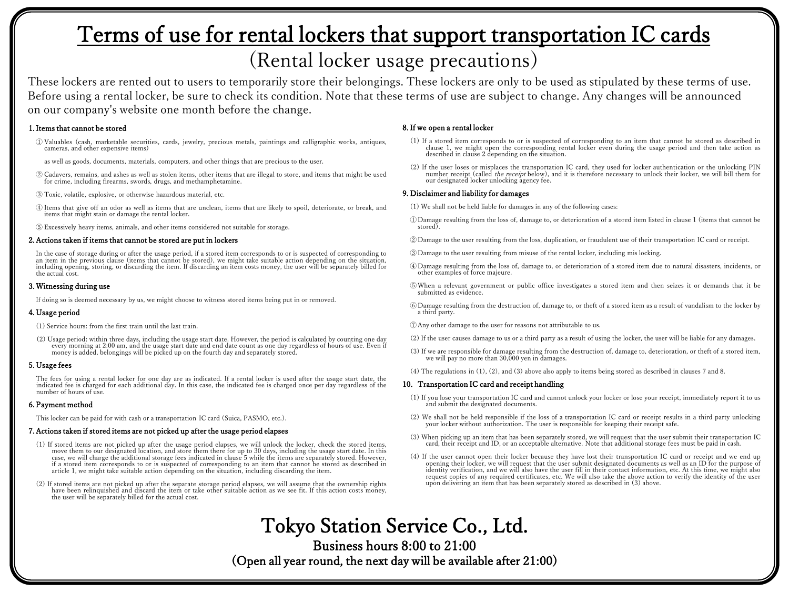# Terms of use for rental lockers that support transportation IC cards

# (Rental locker usage precautions)

These lockers are rented out to users to temporarily store their belongings. These lockers are only to be used as stipulated by these terms of use. Before using a rental locker, be sure to check its condition. Note that these terms of use are subject to change. Any changes will be announced on our company's website one month before the change.

# 1.Items that cannot be stored

① Valuables (cash, marketable securities, cards, jewelry, precious metals, paintings and calligraphic works, antiques, cameras, and other expensive items)

as well as goods, documents, materials, computers, and other things that are precious to the user.

- ② Cadavers, remains, and ashes as well as stolen items, other items that are illegal to store, and items that might be used for crime, including firearms, swords, drugs, and methamphetamine.
- ③ Toxic, volatile, explosive, or otherwise hazardous material, etc.
- ④ Items that give off an odor as well as items that are unclean, items that are likely to spoil, deteriorate, or break, and items that might stain or damage the rental locker.

⑤ Excessively heavy items, animals, and other items considered not suitable for storage.

### 2. Actions taken if items that cannot be stored are put in lockers

In the case of storage during or after the usage period, if a stored item corresponds to or is suspected of corresponding to an item in the previous clause (items that cannot be stored), we might take suitable action depending on the situation, including opening, storing, or discarding the item. If discarding an item costs money, the user will be separately billed for the actual cost.

### 3.Witnessing during use

If doing so is deemed necessary by us, we might choose to witness stored items being put in or removed.

# 4. Usage period

(1) Service hours: from the first train until the last train.

(2) Usage period: within three days, including the usage start date. However, the period is calculated by counting one day every morning at 2:00 am, and the usage start date and end date count as one day regardless of hours of use. Even if money is added, belongings will be picked up on the fourth day and separately stored.

### 5. Usage fees

The fees for using a rental locker for one day are as indicated. If a rental locker is used after the usage start date, the indicated fee is charged for each additional day. In this case, the indicated fee is charged once per day regardless of the number of hours of use.

### 6.Payment method

This locker can be paid for with cash or a transportation IC card (Suica, PASMO, etc.).

### 7. Actions taken if stored items are not picked up after the usage period elapses

- (1) If stored items are not picked up after the usage period elapses, we will unlock the locker, check the stored items, move them to our designated location, and store them there for up to 30 days, including the usage start date. In this case, we will charge the additional storage fees indicated in clause 5 while the items are separately stored. However, if a stored item corresponds to or is suspected of corresponding to an item that cannot be stored as described in article 1, we might take suitable action depending on the situation, including discarding the item.
- (2) If stored items are not picked up after the separate storage period elapses, we will assume that the ownership rights have been relinquished and discard the item or take other suitable action as we see fit. If this action costs money, the user will be separately billed for the actual cost.

# 8. If we open a rental locker

- (1) If a stored item corresponds to or is suspected of corresponding to an item that cannot be stored as described in clause 1, we might open the corresponding rental locker even during the usage period and then take action as described in clause 2 depending on the situation.
- (2) If the user loses or misplaces the transportation IC card, they used for locker authentication or the unlocking PIN number receipt (called the receipt below), and it is therefore necessary to unlock their locker, we will bill them for our designated locker unlocking agency fee.

# 9. Disclaimer and liability for damages

- (1) We shall not be held liable for damages in any of the following cases:
- ①Damage resulting from the loss of, damage to, or deterioration of a stored item listed in clause 1 (items that cannot be stored).
- ②Damage to the user resulting from the loss, duplication, or fraudulent use of their transportation IC card or receipt.
- ③Damage to the user resulting from misuse of the rental locker, including mis locking.
- ④Damage resulting from the loss of, damage to, or deterioration of a stored item due to natural disasters, incidents, or other examples of force majeure.
- ⑤When a relevant government or public office investigates a stored item and then seizes it or demands that it be submitted as evidence.
- ⑥Damage resulting from the destruction of, damage to, or theft of a stored item as a result of vandalism to the locker by a third party.
- ⑦Any other damage to the user for reasons not attributable to us.
- (2) If the user causes damage to us or a third party as a result of using the locker, the user will be liable for any damages.
- (3) If we are responsible for damage resulting from the destruction of, damage to, deterioration, or theft of a stored item, we will pay no more than 30,000 yen in damages.

(4) The regulations in (1), (2), and (3) above also apply to items being stored as described in clauses 7 and 8.

# 10. Transportation IC card and receipt handling

- (1) If you lose your transportation IC card and cannot unlock your locker or lose your receipt, immediately report it to us and submit the designated documents.
- (2) We shall not be held responsible if the loss of a transportation IC card or receipt results in a third party unlocking your locker without authorization. The user is responsible for keeping their receipt safe.
- (3) When picking up an item that has been separately stored, we will request that the user submit their transportation IC card, their receipt and ID, or an acceptable alternative. Note that additional storage fees must be paid in cash.
- (4) If the user cannot open their locker because they have lost their transportation IC card or receipt and we end up opening their locker, we will request that the user submit designated documents as well as an ID for the purpose of identity verification, and we will also have the user fill in their contact information, etc. At this time, we might also request copies of any required certificates, etc. We will also take the above action to verify the identity of the user upon delivering an item that has been separately stored as described in (3) above.

Tokyo Station Service Co., Ltd. Business hours 8:00 to 21:00 (Open all year round, the next day will be available after 21:00)